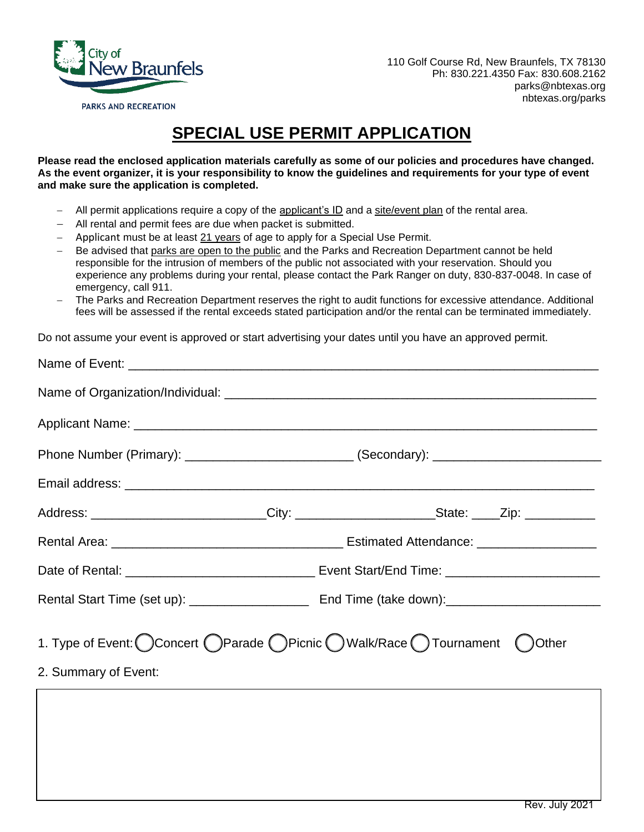

110 Golf Course Rd, New Braunfels, TX 78130 Ph: 830.221.4350 Fax: 830.608.2162 parks@nbtexas.org nbtexas.org/parks

# **SPECIAL USE PERMIT APPLICATION**

**Please read the enclosed application materials carefully as some of our policies and procedures have changed. As the event organizer, it is your responsibility to know the guidelines and requirements for your type of event and make sure the application is completed.**

- − All permit applications require a copy of the applicant's ID and a site/event plan of the rental area.
- All rental and permit fees are due when packet is submitted.
- Applicant must be at least 21 years of age to apply for a Special Use Permit.
- Be advised that parks are open to the public and the Parks and Recreation Department cannot be held responsible for the intrusion of members of the public not associated with your reservation. Should you experience any problems during your rental, please contact the Park Ranger on duty, 830-837-0048. In case of emergency, call 911.
- The Parks and Recreation Department reserves the right to audit functions for excessive attendance. Additional fees will be assessed if the rental exceeds stated participation and/or the rental can be terminated immediately.

Do not assume your event is approved or start advertising your dates until you have an approved permit.

|                      | Phone Number (Primary): ________________________________(Secondary): _______________________________ |
|----------------------|------------------------------------------------------------------------------------------------------|
|                      |                                                                                                      |
|                      | Address: ___________________________City: __________________________State: _____Zip: ______________  |
|                      |                                                                                                      |
|                      |                                                                                                      |
|                      |                                                                                                      |
|                      | 1. Type of Event: ◯ Concert ◯ Parade ◯ Picnic ◯ Walk/Race ◯ Tournament ◯ Other                       |
| 2. Summary of Event: |                                                                                                      |
|                      |                                                                                                      |
|                      |                                                                                                      |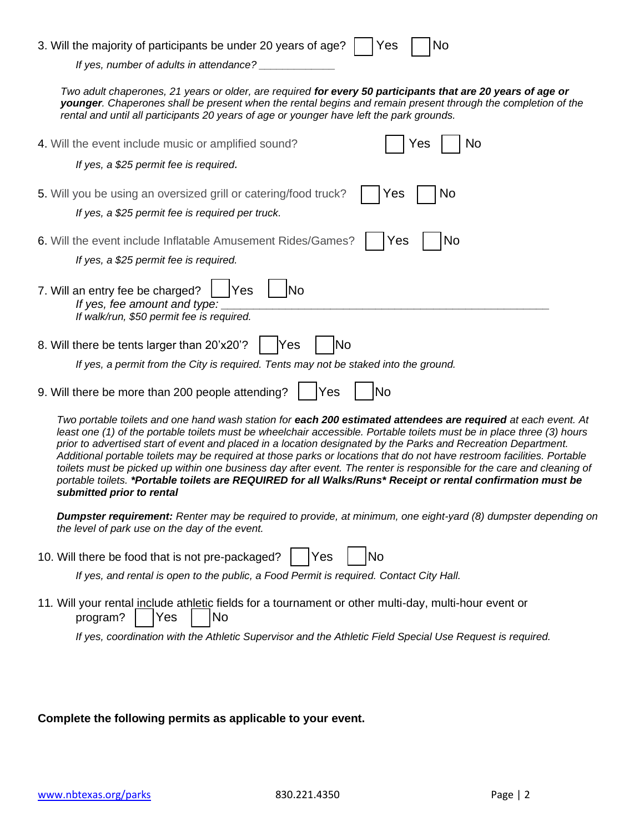| 3. Will the majority of participants be under 20 years of age? $\Box$ Yes $\Box$ No |  |
|-------------------------------------------------------------------------------------|--|
| If yes, number of adults in attendance?                                             |  |

*Two adult chaperones, 21 years or older, are required for every 50 participants that are 20 years of age or younger. Chaperones shall be present when the rental begins and remain present through the completion of the rental and until all participants 20 years of age or younger have left the park grounds.*

| No<br>4. Will the event include music or amplified sound?<br>Yes<br>If yes, a \$25 permit fee is required.                                                                                                                                                                                                                                                                                                                                                                                                                                                                                                                                                                                                                                                |
|-----------------------------------------------------------------------------------------------------------------------------------------------------------------------------------------------------------------------------------------------------------------------------------------------------------------------------------------------------------------------------------------------------------------------------------------------------------------------------------------------------------------------------------------------------------------------------------------------------------------------------------------------------------------------------------------------------------------------------------------------------------|
| 5. Will you be using an oversized grill or catering/food truck?<br>No<br>Yes<br>If yes, a \$25 permit fee is required per truck.                                                                                                                                                                                                                                                                                                                                                                                                                                                                                                                                                                                                                          |
| 6. Will the event include Inflatable Amusement Rides/Games?<br>No<br>Yes<br>If yes, a \$25 permit fee is required.                                                                                                                                                                                                                                                                                                                                                                                                                                                                                                                                                                                                                                        |
| 7. Will an entry fee be charged?<br>No<br>Yes<br>If yes, fee amount and type:<br>If walk/run, \$50 permit fee is required.                                                                                                                                                                                                                                                                                                                                                                                                                                                                                                                                                                                                                                |
| 8. Will there be tents larger than 20'x20'?<br>lNo<br>Yes<br>If yes, a permit from the City is required. Tents may not be staked into the ground.                                                                                                                                                                                                                                                                                                                                                                                                                                                                                                                                                                                                         |
| 9. Will there be more than 200 people attending?<br>Yes<br>No                                                                                                                                                                                                                                                                                                                                                                                                                                                                                                                                                                                                                                                                                             |
| Two portable toilets and one hand wash station for each 200 estimated attendees are required at each event. At<br>least one (1) of the portable toilets must be wheelchair accessible. Portable toilets must be in place three (3) hours<br>prior to advertised start of event and placed in a location designated by the Parks and Recreation Department.<br>Additional portable toilets may be required at those parks or locations that do not have restroom facilities. Portable<br>toilets must be picked up within one business day after event. The renter is responsible for the care and cleaning of<br>portable toilets. *Portable toilets are REQUIRED for all Walks/Runs* Receipt or rental confirmation must be<br>submitted prior to rental |
| <b>Dumpster requirement:</b> Renter may be required to provide, at minimum, one eight-yard (8) dumpster depending on<br>the level of park use on the day of the event.                                                                                                                                                                                                                                                                                                                                                                                                                                                                                                                                                                                    |
| 10. Will there be food that is not pre-packaged?<br>Yes<br>No<br>If yes, and rental is open to the public, a Food Permit is required. Contact City Hall.                                                                                                                                                                                                                                                                                                                                                                                                                                                                                                                                                                                                  |

11*.* Will your rental include athletic fields for a tournament or other multi-day, multi-hour event or program?  $|$  | Yes | | No

*If yes, coordination with the Athletic Supervisor and the Athletic Field Special Use Request is required.* 

#### **Complete the following permits as applicable to your event.**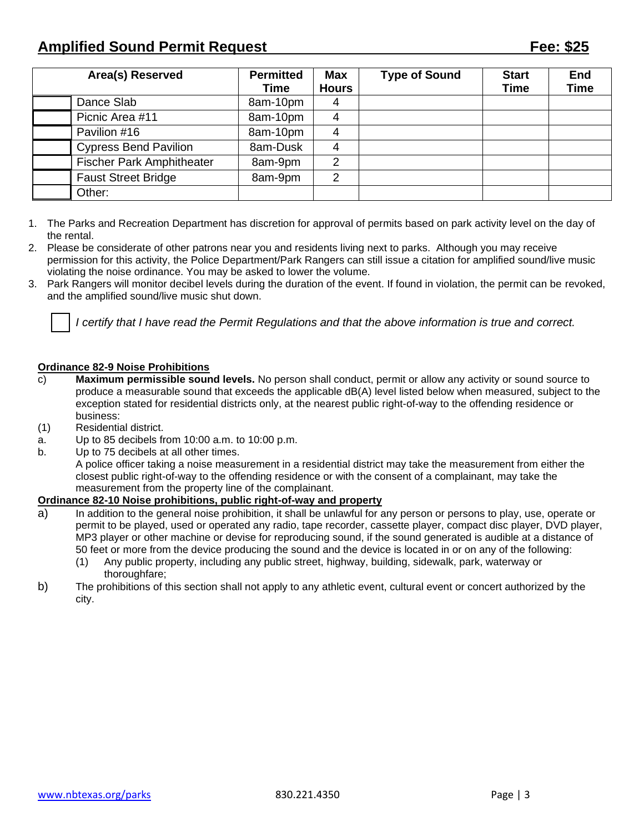## **Amplified Sound Permit Request Fee: \$25**

| Area(s) Reserved                 | <b>Permitted</b><br>Time | <b>Max</b><br><b>Hours</b> | <b>Type of Sound</b> | <b>Start</b><br>Time | End<br><b>Time</b> |
|----------------------------------|--------------------------|----------------------------|----------------------|----------------------|--------------------|
| Dance Slab                       | 8am-10pm                 | 4                          |                      |                      |                    |
| Picnic Area #11                  | 8am-10pm                 | 4                          |                      |                      |                    |
| Pavilion #16                     | 8am-10pm                 | 4                          |                      |                      |                    |
| <b>Cypress Bend Pavilion</b>     | 8am-Dusk                 | 4                          |                      |                      |                    |
| <b>Fischer Park Amphitheater</b> | 8am-9pm                  | 2                          |                      |                      |                    |
| <b>Faust Street Bridge</b>       | 8am-9pm                  | っ                          |                      |                      |                    |
| Other:                           |                          |                            |                      |                      |                    |

- 1. The Parks and Recreation Department has discretion for approval of permits based on park activity level on the day of the rental.
- 2. Please be considerate of other patrons near you and residents living next to parks. Although you may receive permission for this activity, the Police Department/Park Rangers can still issue a citation for amplified sound/live music violating the noise ordinance. You may be asked to lower the volume.
- 3. Park Rangers will monitor decibel levels during the duration of the event. If found in violation, the permit can be revoked, and the amplified sound/live music shut down.



*I certify that I have read the Permit Regulations and that the above information is true and correct.*

#### **Ordinance 82-9 Noise Prohibitions**

- c) **Maximum permissible sound levels.** No person shall conduct, permit or allow any activity or sound source to produce a measurable sound that exceeds the applicable dB(A) level listed below when measured, subject to the exception stated for residential districts only, at the nearest public right-of-way to the offending residence or business:
- (1) Residential district.
- a. Up to 85 decibels from 10:00 a.m. to 10:00 p.m.
- b. Up to 75 decibels at all other times.

A police officer taking a noise measurement in a residential district may take the measurement from either the closest public right-of-way to the offending residence or with the consent of a complainant, may take the measurement from the property line of the complainant.

#### **Ordinance 82-10 Noise prohibitions, public right-of-way and property**

- a) In addition to the general noise prohibition, it shall be unlawful for any person or persons to play, use, operate or permit to be played, used or operated any radio, tape recorder, cassette player, compact disc player, DVD player, MP3 player or other machine or devise for reproducing sound, if the sound generated is audible at a distance of 50 feet or more from the device producing the sound and the device is located in or on any of the following:
	- (1) Any public property, including any public street, highway, building, sidewalk, park, waterway or thoroughfare;
- b) The prohibitions of this section shall not apply to any athletic event, cultural event or concert authorized by the city.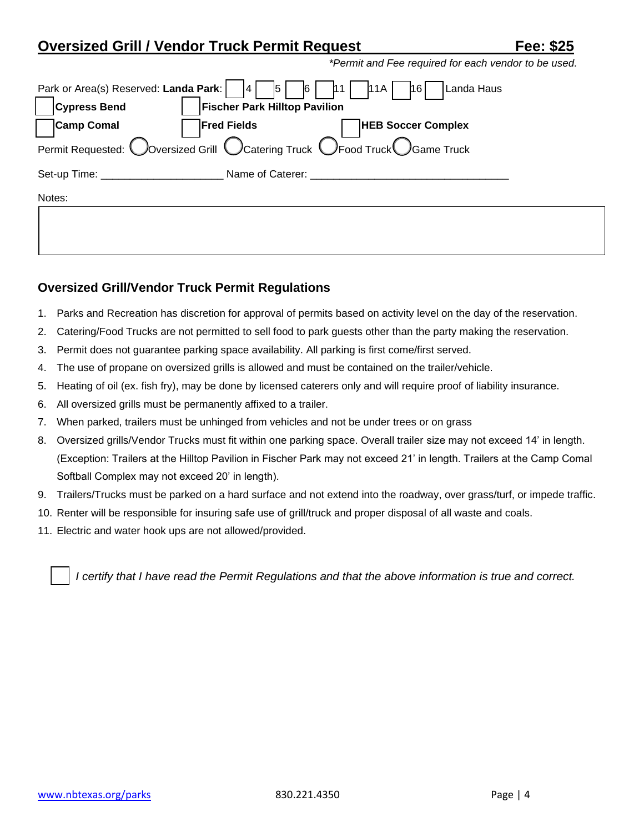## **Oversized Grill / Vendor Truck Permit Request**

| - مم | $\cdot$<br>æ. |
|------|---------------|
|      |               |

| Park or Area(s) Reserved: Landa Park: | 5 <br>14.                            | Landa Haus<br>11A<br>6<br>16                                                                 |
|---------------------------------------|--------------------------------------|----------------------------------------------------------------------------------------------|
| <b>Cypress Bend</b>                   | <b>Fischer Park Hilltop Pavilion</b> |                                                                                              |
| <b>Camp Comal</b>                     | <b>Fred Fields</b>                   | <b>HEB Soccer Complex</b>                                                                    |
| Permit Requested: <sup>1</sup>        |                                      | $\bigcup$ Oversized Grill $\bigcup$ Catering Truck $\bigcup$ Food Truck $\bigcup$ Game Truck |
| Set-up Time:                          | Name of Caterer:                     |                                                                                              |
| Notes:                                |                                      |                                                                                              |
|                                       |                                      |                                                                                              |
|                                       |                                      |                                                                                              |

### **Oversized Grill/Vendor Truck Permit Regulations**

L

- 1. Parks and Recreation has discretion for approval of permits based on activity level on the day of the reservation.
- 2. Catering/Food Trucks are not permitted to sell food to park guests other than the party making the reservation.
- 3. Permit does not guarantee parking space availability. All parking is first come/first served.
- 4. The use of propane on oversized grills is allowed and must be contained on the trailer/vehicle.
- 5. Heating of oil (ex. fish fry), may be done by licensed caterers only and will require proof of liability insurance.
- 6. All oversized grills must be permanently affixed to a trailer.
- 7. When parked, trailers must be unhinged from vehicles and not be under trees or on grass
- 8. Oversized grills/Vendor Trucks must fit within one parking space. Overall trailer size may not exceed 14' in length. (Exception: Trailers at the Hilltop Pavilion in Fischer Park may not exceed 21' in length. Trailers at the Camp Comal Softball Complex may not exceed 20' in length).
- 9. Trailers/Trucks must be parked on a hard surface and not extend into the roadway, over grass/turf, or impede traffic.
- 10. Renter will be responsible for insuring safe use of grill/truck and proper disposal of all waste and coals.
- 11. Electric and water hook ups are not allowed/provided.

*I certify that I have read the Permit Regulations and that the above information is true and correct.*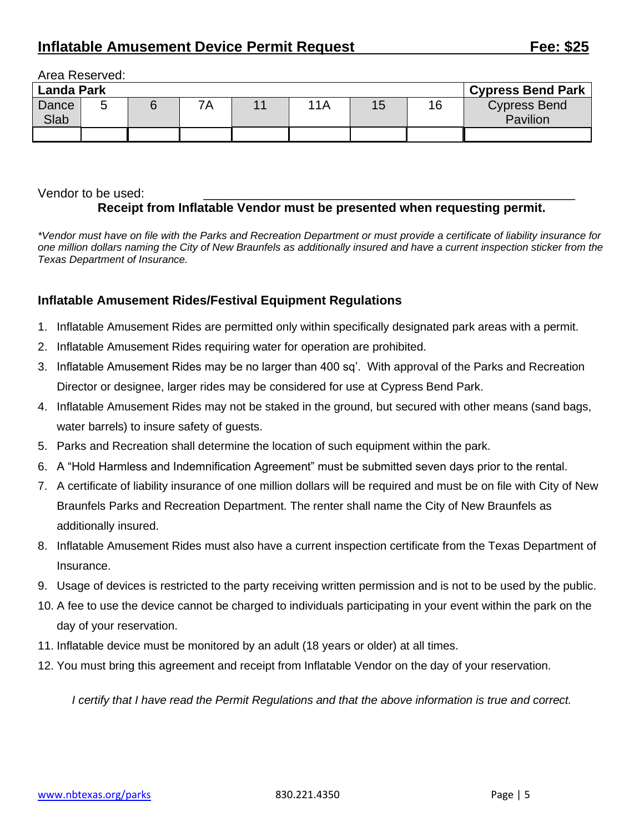| Area Reserved:    |   |  |    |  |     |    |    |                                 |
|-------------------|---|--|----|--|-----|----|----|---------------------------------|
| <b>Landa Park</b> |   |  |    |  |     |    |    | <b>Cypress Bend Park</b>        |
| Dance<br>Slab     | ∽ |  | ŽΑ |  | 11A | 15 | 16 | <b>Cypress Bend</b><br>Pavilion |
|                   |   |  |    |  |     |    |    |                                 |

### Vendor to be used: **Receipt from Inflatable Vendor must be presented when requesting permit.**

*\*Vendor must have on file with the Parks and Recreation Department or must provide a certificate of liability insurance for one million dollars naming the City of New Braunfels as additionally insured and have a current inspection sticker from the Texas Department of Insurance.*

### **Inflatable Amusement Rides/Festival Equipment Regulations**

- 1. Inflatable Amusement Rides are permitted only within specifically designated park areas with a permit.
- 2. Inflatable Amusement Rides requiring water for operation are prohibited.
- 3. Inflatable Amusement Rides may be no larger than 400 sq'. With approval of the Parks and Recreation Director or designee, larger rides may be considered for use at Cypress Bend Park.
- 4. Inflatable Amusement Rides may not be staked in the ground, but secured with other means (sand bags, water barrels) to insure safety of guests.
- 5. Parks and Recreation shall determine the location of such equipment within the park.
- 6. A "Hold Harmless and Indemnification Agreement" must be submitted seven days prior to the rental.
- 7. A certificate of liability insurance of one million dollars will be required and must be on file with City of New Braunfels Parks and Recreation Department. The renter shall name the City of New Braunfels as additionally insured.
- 8. Inflatable Amusement Rides must also have a current inspection certificate from the Texas Department of Insurance.
- 9. Usage of devices is restricted to the party receiving written permission and is not to be used by the public.
- 10. A fee to use the device cannot be charged to individuals participating in your event within the park on the day of your reservation.
- 11. Inflatable device must be monitored by an adult (18 years or older) at all times.
- 12. You must bring this agreement and receipt from Inflatable Vendor on the day of your reservation.

*I certify that I have read the Permit Regulations and that the above information is true and correct.*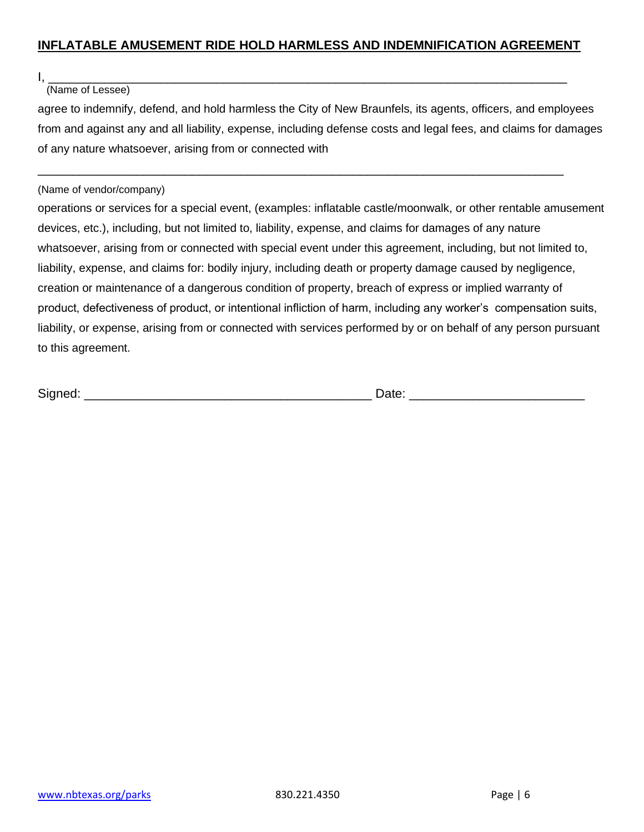I, \_\_\_\_\_\_\_\_\_\_\_\_\_\_\_\_\_\_\_\_\_\_\_\_\_\_\_\_\_\_\_\_\_\_\_\_\_\_\_\_\_\_\_\_\_\_\_\_\_\_\_\_\_\_\_\_\_\_\_\_\_\_\_\_\_\_\_\_\_\_\_\_\_\_

#### (Name of Lessee)

agree to indemnify, defend, and hold harmless the City of New Braunfels, its agents, officers, and employees from and against any and all liability, expense, including defense costs and legal fees, and claims for damages of any nature whatsoever, arising from or connected with

\_\_\_\_\_\_\_\_\_\_\_\_\_\_\_\_\_\_\_\_\_\_\_\_\_\_\_\_\_\_\_\_\_\_\_\_\_\_\_\_\_\_\_\_\_\_\_\_\_\_\_\_\_\_\_\_\_\_\_\_\_\_\_\_\_\_\_\_\_\_\_\_\_\_\_

#### (Name of vendor/company)

operations or services for a special event, (examples: inflatable castle/moonwalk, or other rentable amusement devices, etc.), including, but not limited to, liability, expense, and claims for damages of any nature whatsoever, arising from or connected with special event under this agreement, including, but not limited to, liability, expense, and claims for: bodily injury, including death or property damage caused by negligence, creation or maintenance of a dangerous condition of property, breach of express or implied warranty of product, defectiveness of product, or intentional infliction of harm, including any worker's compensation suits, liability, or expense, arising from or connected with services performed by or on behalf of any person pursuant to this agreement.

Signed: \_\_\_\_\_\_\_\_\_\_\_\_\_\_\_\_\_\_\_\_\_\_\_\_\_\_\_\_\_\_\_\_\_\_\_\_\_\_\_\_\_ Date: \_\_\_\_\_\_\_\_\_\_\_\_\_\_\_\_\_\_\_\_\_\_\_\_\_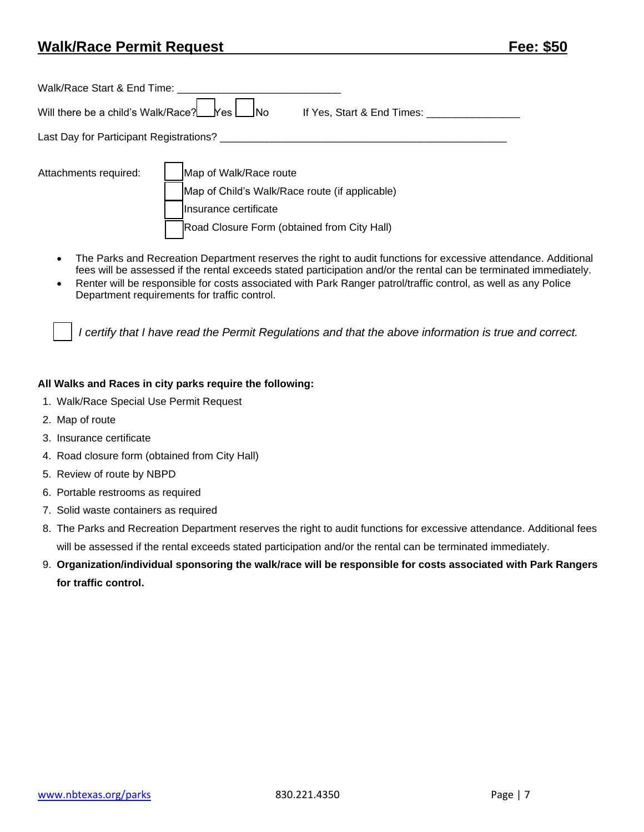## **Walk/Race Permit Request Fee: \$50**

| Walk/Race Start & End Time:              |                                                                                                                                                   |
|------------------------------------------|---------------------------------------------------------------------------------------------------------------------------------------------------|
| Will there be a child's Walk/Race? Fes [ | <u>INo</u><br>If Yes, Start & End Times: __                                                                                                       |
| Last Day for Participant Registrations?  |                                                                                                                                                   |
| Attachments required:                    | Map of Walk/Race route<br>Map of Child's Walk/Race route (if applicable)<br>Ilnsurance certificate<br>Road Closure Form (obtained from City Hall) |

- The Parks and Recreation Department reserves the right to audit functions for excessive attendance. Additional fees will be assessed if the rental exceeds stated participation and/or the rental can be terminated immediately.
- Renter will be responsible for costs associated with Park Ranger patrol/traffic control, as well as any Police Department requirements for traffic control.

*I certify that I have read the Permit Regulations and that the above information is true and correct.*

#### **All Walks and Races in city parks require the following:**

- 1. Walk/Race Special Use Permit Request
- 2. Map of route
- 3. Insurance certificate
- 4. Road closure form (obtained from City Hall)
- 5. Review of route by NBPD
- 6. Portable restrooms as required
- 7. Solid waste containers as required
- 8. The Parks and Recreation Department reserves the right to audit functions for excessive attendance. Additional fees will be assessed if the rental exceeds stated participation and/or the rental can be terminated immediately.
- 9. **Organization/individual sponsoring the walk/race will be responsible for costs associated with Park Rangers for traffic control.**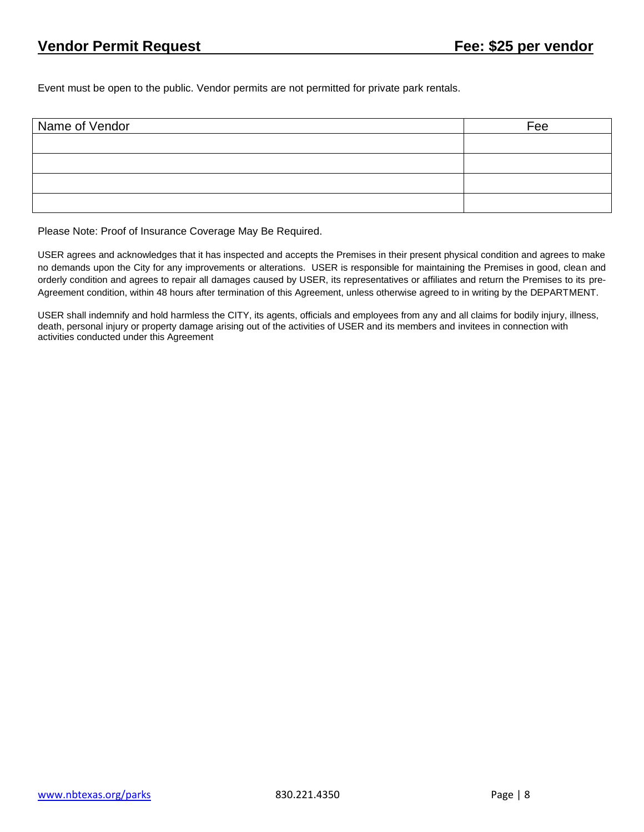Event must be open to the public. Vendor permits are not permitted for private park rentals.

| Name of Vendor | Fee |
|----------------|-----|
|                |     |
|                |     |
|                |     |
|                |     |

Please Note: Proof of Insurance Coverage May Be Required.

USER agrees and acknowledges that it has inspected and accepts the Premises in their present physical condition and agrees to make no demands upon the City for any improvements or alterations. USER is responsible for maintaining the Premises in good, clean and orderly condition and agrees to repair all damages caused by USER, its representatives or affiliates and return the Premises to its pre-Agreement condition, within 48 hours after termination of this Agreement, unless otherwise agreed to in writing by the DEPARTMENT.

USER shall indemnify and hold harmless the CITY, its agents, officials and employees from any and all claims for bodily injury, illness, death, personal injury or property damage arising out of the activities of USER and its members and invitees in connection with activities conducted under this Agreement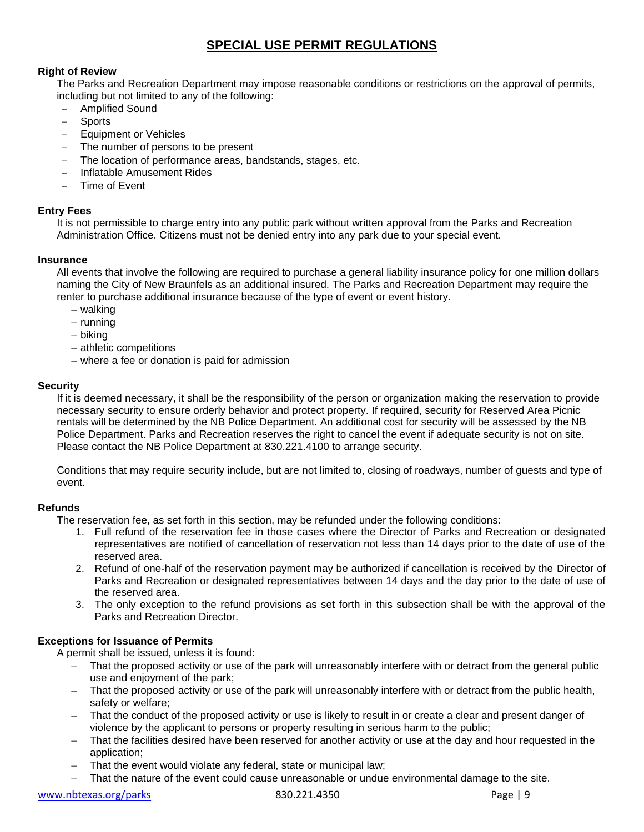## **SPECIAL USE PERMIT REGULATIONS**

#### **Right of Review**

The Parks and Recreation Department may impose reasonable conditions or restrictions on the approval of permits, including but not limited to any of the following:

- − Amplified Sound
- − Sports
- Equipment or Vehicles
- − The number of persons to be present
- The location of performance areas, bandstands, stages, etc.
- − Inflatable Amusement Rides
- − Time of Event

#### **Entry Fees**

It is not permissible to charge entry into any public park without written approval from the Parks and Recreation Administration Office. Citizens must not be denied entry into any park due to your special event.

#### **Insurance**

All events that involve the following are required to purchase a general liability insurance policy for one million dollars naming the City of New Braunfels as an additional insured. The Parks and Recreation Department may require the renter to purchase additional insurance because of the type of event or event history.

- − walking
- − running
- − biking
- − athletic competitions
- − where a fee or donation is paid for admission

#### **Security**

If it is deemed necessary, it shall be the responsibility of the person or organization making the reservation to provide necessary security to ensure orderly behavior and protect property. If required, security for Reserved Area Picnic rentals will be determined by the NB Police Department. An additional cost for security will be assessed by the NB Police Department. Parks and Recreation reserves the right to cancel the event if adequate security is not on site. Please contact the NB Police Department at 830.221.4100 to arrange security.

Conditions that may require security include, but are not limited to, closing of roadways, number of guests and type of event.

#### **Refunds**

The reservation fee, as set forth in this section, may be refunded under the following conditions:

- 1. Full refund of the reservation fee in those cases where the Director of Parks and Recreation or designated representatives are notified of cancellation of reservation not less than 14 days prior to the date of use of the reserved area.
- 2. Refund of one-half of the reservation payment may be authorized if cancellation is received by the Director of Parks and Recreation or designated representatives between 14 days and the day prior to the date of use of the reserved area.
- 3. The only exception to the refund provisions as set forth in this subsection shall be with the approval of the Parks and Recreation Director.

#### **Exceptions for Issuance of Permits**

A permit shall be issued, unless it is found:

- That the proposed activity or use of the park will unreasonably interfere with or detract from the general public use and enjoyment of the park;
- − That the proposed activity or use of the park will unreasonably interfere with or detract from the public health, safety or welfare;
- That the conduct of the proposed activity or use is likely to result in or create a clear and present danger of violence by the applicant to persons or property resulting in serious harm to the public;
- That the facilities desired have been reserved for another activity or use at the day and hour requested in the application;
- That the event would violate any federal, state or municipal law;
- − That the nature of the event could cause unreasonable or undue environmental damage to the site.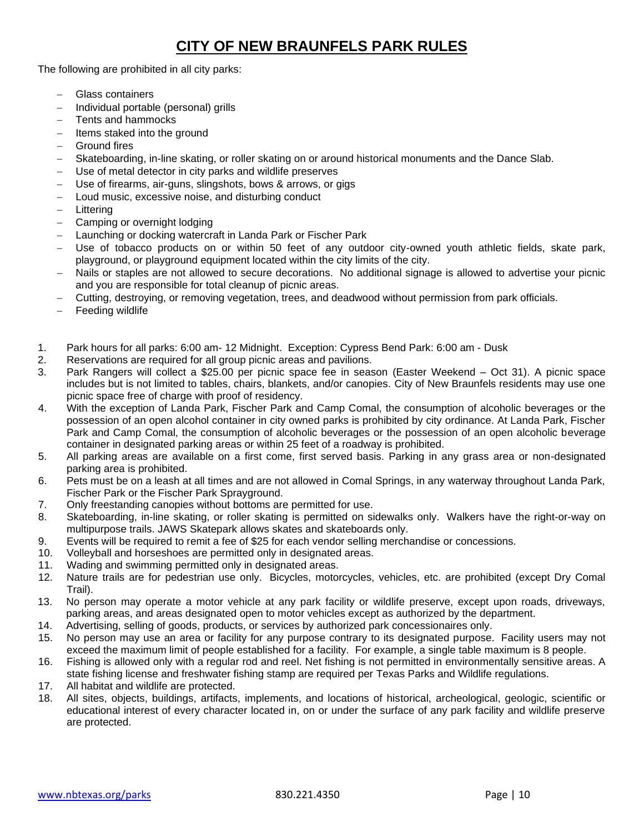## **CITY OF NEW BRAUNFELS PARK RULES**

The following are prohibited in all city parks:

- − Glass containers
- − Individual portable (personal) grills
- Tents and hammocks
- Items staked into the ground
- − Ground fires
- − Skateboarding, in-line skating, or roller skating on or around historical monuments and the Dance Slab.
- Use of metal detector in city parks and wildlife preserves
- Use of firearms, air-guns, slingshots, bows & arrows, or gigs
- − Loud music, excessive noise, and disturbing conduct
- − Littering
- Camping or overnight lodging
- Launching or docking watercraft in Landa Park or Fischer Park
- Use of tobacco products on or within 50 feet of any outdoor city-owned youth athletic fields, skate park, playground, or playground equipment located within the city limits of the city.
- Nails or staples are not allowed to secure decorations. No additional signage is allowed to advertise your picnic and you are responsible for total cleanup of picnic areas.
- − Cutting, destroying, or removing vegetation, trees, and deadwood without permission from park officials.
- − Feeding wildlife
- 1. Park hours for all parks: 6:00 am- 12 Midnight. Exception: Cypress Bend Park: 6:00 am Dusk
- 2. Reservations are required for all group picnic areas and pavilions.
- 3. Park Rangers will collect a \$25.00 per picnic space fee in season (Easter Weekend Oct 31). A picnic space includes but is not limited to tables, chairs, blankets, and/or canopies. City of New Braunfels residents may use one picnic space free of charge with proof of residency.
- 4. With the exception of Landa Park, Fischer Park and Camp Comal, the consumption of alcoholic beverages or the possession of an open alcohol container in city owned parks is prohibited by city ordinance. At Landa Park, Fischer Park and Camp Comal, the consumption of alcoholic beverages or the possession of an open alcoholic beverage container in designated parking areas or within 25 feet of a roadway is prohibited.
- 5. All parking areas are available on a first come, first served basis. Parking in any grass area or non-designated parking area is prohibited.
- 6. Pets must be on a leash at all times and are not allowed in Comal Springs, in any waterway throughout Landa Park, Fischer Park or the Fischer Park Sprayground.
- 7. Only freestanding canopies without bottoms are permitted for use.
- 8. Skateboarding, in-line skating, or roller skating is permitted on sidewalks only. Walkers have the right-or-way on multipurpose trails. JAWS Skatepark allows skates and skateboards only.
- 9. Events will be required to remit a fee of \$25 for each vendor selling merchandise or concessions.
- 10. Volleyball and horseshoes are permitted only in designated areas.
- 11. Wading and swimming permitted only in designated areas.
- 12. Nature trails are for pedestrian use only. Bicycles, motorcycles, vehicles, etc. are prohibited (except Dry Comal Trail).
- 13. No person may operate a motor vehicle at any park facility or wildlife preserve, except upon roads, driveways, parking areas, and areas designated open to motor vehicles except as authorized by the department.
- 14. Advertising, selling of goods, products, or services by authorized park concessionaires only.
- 15. No person may use an area or facility for any purpose contrary to its designated purpose. Facility users may not exceed the maximum limit of people established for a facility. For example, a single table maximum is 8 people.
- 16. Fishing is allowed only with a regular rod and reel. Net fishing is not permitted in environmentally sensitive areas. A state fishing license and freshwater fishing stamp are required per Texas Parks and Wildlife regulations.
- 17. All habitat and wildlife are protected.
- 18. All sites, objects, buildings, artifacts, implements, and locations of historical, archeological, geologic, scientific or educational interest of every character located in, on or under the surface of any park facility and wildlife preserve are protected.